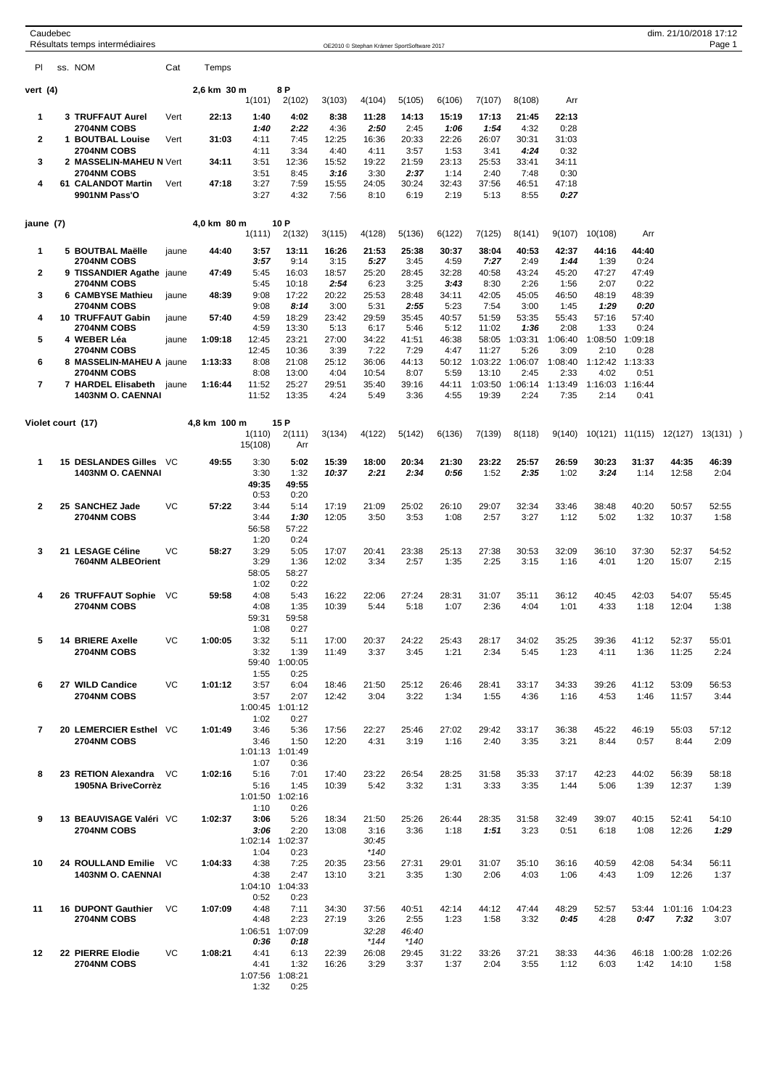|                | Caudebec | Résultats temps intermédiaires                 |           |              |                         |                         |                | OE2010 © Stephan Krämer SportSoftware 2017 |               |               |                  |                 |                 |                 |                 |                  | dim. 21/10/2018 17:12<br>Page 1 |  |
|----------------|----------|------------------------------------------------|-----------|--------------|-------------------------|-------------------------|----------------|--------------------------------------------|---------------|---------------|------------------|-----------------|-----------------|-----------------|-----------------|------------------|---------------------------------|--|
| PI             |          | ss. NOM                                        | Cat       | Temps        |                         |                         |                |                                            |               |               |                  |                 |                 |                 |                 |                  |                                 |  |
| vert (4)       |          |                                                |           | 2,6 km 30 m  |                         | 8 P                     |                |                                            |               |               |                  |                 |                 |                 |                 |                  |                                 |  |
|                |          |                                                |           |              | 1(101)                  | 2(102)                  | 3(103)         | 4(104)                                     | 5(105)        | 6(106)        | 7(107)           | 8(108)          | Arr             |                 |                 |                  |                                 |  |
| 1              |          | 3 TRUFFAUT Aurel<br><b>2704NM COBS</b>         | Vert      | 22:13        | 1:40<br>1:40            | 4:02<br>2:22            | 8:38<br>4:36   | 11:28<br>2:50                              | 14:13<br>2:45 | 15:19<br>1:06 | 17:13<br>1:54    | 21:45<br>4:32   | 22:13<br>0:28   |                 |                 |                  |                                 |  |
| 2              |          | 1 BOUTBAL Louise                               | Vert      | 31:03        | 4:11                    | 7:45                    | 12:25          | 16:36                                      | 20:33         | 22:26         | 26:07            | 30:31           | 31:03           |                 |                 |                  |                                 |  |
|                |          | 2704NM COBS                                    |           |              | 4:11                    | 3:34                    | 4:40           | 4:11                                       | 3:57          | 1:53          | 3:41             | 4:24            | 0:32            |                 |                 |                  |                                 |  |
| 3              |          | 2 MASSELIN-MAHEU N Vert<br><b>2704NM COBS</b>  |           | 34:11        | 3:51<br>3:51            | 12:36<br>8:45           | 15:52<br>3:16  | 19:22<br>3:30                              | 21:59<br>2:37 | 23:13<br>1:14 | 25:53<br>2:40    | 33:41<br>7:48   | 34:11<br>0:30   |                 |                 |                  |                                 |  |
| 4              |          | 61 CALANDOT Martin                             | Vert      | 47:18        | 3:27                    | 7:59                    | 15:55          | 24:05                                      | 30:24         | 32:43         | 37:56            | 46:51           | 47:18           |                 |                 |                  |                                 |  |
|                |          | 9901NM Pass'O                                  |           |              | 3:27                    | 4:32                    | 7:56           | 8:10                                       | 6:19          | 2:19          | 5:13             | 8:55            | 0:27            |                 |                 |                  |                                 |  |
| jaune (7)      |          |                                                |           | 4,0 km 80 m  |                         | 10 P                    |                |                                            |               |               |                  |                 |                 |                 |                 |                  |                                 |  |
|                |          |                                                |           |              | 1(111)                  | 2(132)                  | 3(115)         | 4(128)                                     | 5(136)        | 6(122)        | 7(125)           | 8(141)          | 9(107)          | 10(108)         | Arr             |                  |                                 |  |
| 1              |          | 5 BOUTBAL Maëlle<br><b>2704NM COBS</b>         | jaune     | 44:40        | 3:57<br>3:57            | 13:11<br>9:14           | 16:26<br>3:15  | 21:53<br>5:27                              | 25:38<br>3:45 | 30:37<br>4:59 | 38:04<br>7:27    | 40:53<br>2:49   | 42:37<br>1:44   | 44:16<br>1:39   | 44:40<br>0:24   |                  |                                 |  |
| 2              |          | 9 TISSANDIER Agathe jaune                      |           | 47:49        | 5:45                    | 16:03                   | 18:57          | 25:20                                      | 28:45         | 32:28         | 40:58            | 43:24           | 45:20           | 47:27           | 47:49           |                  |                                 |  |
| 3              |          | <b>2704NM COBS</b><br>6 CAMBYSE Mathieu        |           | 48:39        | 5:45<br>9:08            | 10:18<br>17:22          | 2:54<br>20:22  | 6:23<br>25:53                              | 3:25<br>28:48 | 3:43<br>34:11 | 8:30<br>42:05    | 2:26<br>45:05   | 1:56<br>46:50   | 2:07<br>48:19   | 0:22<br>48:39   |                  |                                 |  |
|                |          | <b>2704NM COBS</b>                             | jaune     |              | 9:08                    | 8:14                    | 3:00           | 5:31                                       | 2:55          | 5:23          | 7:54             | 3:00            | 1:45            | 1:29            | 0:20            |                  |                                 |  |
| 4              |          | <b>10 TRUFFAUT Gabin</b>                       | jaune     | 57:40        | 4:59                    | 18:29                   | 23:42          | 29:59                                      | 35:45         | 40:57         | 51:59            | 53:35           | 55:43           | 57:16           | 57:40           |                  |                                 |  |
| 5              |          | 2704NM COBS<br>4 WEBER Léa                     | jaune     | 1:09:18      | 4:59<br>12:45           | 13:30<br>23:21          | 5:13<br>27:00  | 6:17<br>34:22                              | 5:46<br>41:51 | 5:12<br>46:38 | 11:02<br>58:05   | 1:36<br>1:03:31 | 2:08<br>1:06:40 | 1:33<br>1:08:50 | 0:24<br>1:09:18 |                  |                                 |  |
|                |          | <b>2704NM COBS</b>                             |           |              | 12:45                   | 10:36                   | 3:39           | 7:22                                       | 7:29          | 4:47          | 11:27            | 5:26            | 3:09            | 2:10            | 0:28            |                  |                                 |  |
| 6              |          | 8 MASSELIN-MAHEU A jaune<br><b>2704NM COBS</b> |           | 1:13:33      | 8:08<br>8:08            | 21:08<br>13:00          | 25:12<br>4:04  | 36:06<br>10:54                             | 44:13<br>8:07 | 50:12<br>5:59 | 1:03:22<br>13:10 | 1:06:07<br>2:45 | 1:08:40<br>2:33 | 1:12:42<br>4:02 | 1:13:33<br>0:51 |                  |                                 |  |
| 7              |          | 7 HARDEL Elisabeth                             | jaune     | 1:16:44      | 11:52                   | 25:27                   | 29:51          | 35:40                                      | 39:16         | 44:11         | 1:03:50          | 1:06:14         | 1:13:49         | 1:16:03         | 1:16:44         |                  |                                 |  |
|                |          | <b>1403NM O. CAENNAI</b>                       |           |              | 11:52                   | 13:35                   | 4:24           | 5:49                                       | 3:36          | 4:55          | 19:39            | 2:24            | 7:35            | 2:14            | 0:41            |                  |                                 |  |
|                |          | Violet court (17)                              |           | 4,8 km 100 m |                         | 15 P                    |                |                                            |               |               |                  |                 |                 |                 |                 |                  |                                 |  |
|                |          |                                                |           |              | 1(110)<br>15(108)       | 2(111)<br>Arr           | 3(134)         | 4(122)                                     | 5(142)        | 6(136)        | 7(139)           | 8(118)          | 9(140)          |                 | 10(121) 11(115) | 12(127)          | 13(131)                         |  |
| 1              |          | <b>15 DESLANDES Gilles</b>                     | VC        | 49:55        | 3:30                    | 5:02                    | 15:39          | 18:00                                      | 20:34         | 21:30         | 23:22            | 25:57           | 26:59           | 30:23           | 31:37           | 44:35            | 46:39                           |  |
|                |          | <b>1403NM O. CAENNAI</b>                       |           |              | 3:30<br>49:35           | 1:32<br>49:55           | 10:37          | 2:21                                       | 2:34          | 0:56          | 1:52             | 2:35            | 1:02            | 3:24            | 1:14            | 12:58            | 2:04                            |  |
|                |          |                                                |           |              | 0:53                    | 0:20                    |                |                                            |               |               |                  |                 |                 |                 |                 |                  |                                 |  |
| $\mathbf{2}$   |          | 25 SANCHEZ Jade<br>2704NM COBS                 | VC        | 57:22        | 3:44<br>3:44            | 5:14<br>1:30            | 17:19<br>12:05 | 21:09<br>3:50                              | 25:02<br>3:53 | 26:10<br>1:08 | 29:07<br>2:57    | 32:34<br>3:27   | 33:46<br>1:12   | 38:48<br>5:02   | 40:20<br>1:32   | 50:57<br>10:37   | 52:55<br>1:58                   |  |
|                |          |                                                |           |              | 56:58                   | 57:22                   |                |                                            |               |               |                  |                 |                 |                 |                 |                  |                                 |  |
| 3              |          | 21 LESAGE Céline                               | VC        | 58:27        | 1:20<br>3:29            | 0:24<br>5:05            | 17:07          | 20:41                                      | 23:38         | 25:13         | 27:38            | 30:53           | 32:09           | 36:10           | 37:30           | 52:37            | 54:52                           |  |
|                |          | 7604NM ALBEOrient                              |           |              | 3:29                    | 1:36                    | 12:02          | 3:34                                       | 2:57          | 1:35          | 2:25             | 3:15            | 1:16            | 4:01            | 1:20            | 15:07            | 2:15                            |  |
|                |          |                                                |           |              | 58:05                   | 58:27                   |                |                                            |               |               |                  |                 |                 |                 |                 |                  |                                 |  |
| 4              |          | 26 TRUFFAUT Sophie                             | VC        | 59:58        | 1:02<br>4:08            | 0:22<br>5:43            | 16:22          | 22:06                                      | 27:24         | 28:31         | 31:07            | 35:11           | 36:12           | 40:45           | 42:03           | 54:07            | 55:45                           |  |
|                |          | <b>2704NM COBS</b>                             |           |              | 4:08                    | 1:35                    | 10:39          | 5:44                                       | 5:18          | 1:07          | 2:36             | 4:04            | 1:01            | 4:33            | 1:18            | 12:04            | 1:38                            |  |
|                |          |                                                |           |              | 59:31<br>1:08           | 59:58<br>0:27           |                |                                            |               |               |                  |                 |                 |                 |                 |                  |                                 |  |
| 5              |          | <b>14 BRIERE Axelle</b>                        | <b>VC</b> | 1:00:05      | 3:32                    | 5:11                    | 17:00          | 20:37                                      | 24:22         | 25:43         | 28:17            | 34:02           | 35:25           | 39:36           | 41:12           | 52:37            | 55:01                           |  |
|                |          | 2704NM COBS                                    |           |              | 3:32                    | 1:39<br>59:40 1:00:05   | 11:49          | 3:37                                       | 3:45          | 1:21          | 2:34             | 5:45            | 1:23            | 4:11            | 1:36            | 11:25            | 2:24                            |  |
|                |          |                                                |           |              | 1:55                    | 0:25                    |                |                                            |               |               |                  |                 |                 |                 |                 |                  |                                 |  |
| 6              |          | 27 WILD Candice<br>2704NM COBS                 | <b>VC</b> | 1:01:12      | 3:57<br>3:57            | 6:04<br>2:07            | 18:46<br>12:42 | 21:50<br>3:04                              | 25:12<br>3:22 | 26:46<br>1:34 | 28:41<br>1:55    | 33:17<br>4:36   | 34:33<br>1:16   | 39:26<br>4:53   | 41:12<br>1:46   | 53:09            | 56:53                           |  |
|                |          |                                                |           |              |                         | 1:00:45 1:01:12         |                |                                            |               |               |                  |                 |                 |                 |                 | 11:57            | 3:44                            |  |
| $\overline{7}$ |          | 20 LEMERCIER Esthel VC                         |           |              | 1:02                    | 0:27                    |                |                                            |               |               |                  |                 |                 |                 |                 |                  |                                 |  |
|                |          | 2704NM COBS                                    |           | 1:01:49      | 3:46<br>3:46            | 5:36<br>1:50            | 17:56<br>12:20 | 22:27<br>4:31                              | 25:46<br>3:19 | 27:02<br>1:16 | 29:42<br>2:40    | 33:17<br>3:35   | 36:38<br>3:21   | 45:22<br>8:44   | 46:19<br>0:57   | 55:03<br>8:44    | 57:12<br>2:09                   |  |
|                |          |                                                |           |              | 1:01:13 1:01:49         |                         |                |                                            |               |               |                  |                 |                 |                 |                 |                  |                                 |  |
| 8              |          | 23 RETION Alexandra                            | VC        | 1:02:16      | 1:07<br>5:16            | 0:36<br>7:01            | 17:40          | 23:22                                      | 26:54         | 28:25         | 31:58            | 35:33           | 37:17           | 42:23           | 44:02           | 56:39            | 58:18                           |  |
|                |          | 1905NA BriveCorrèz                             |           |              | 5:16                    | 1:45                    | 10:39          | 5:42                                       | 3:32          | 1:31          | 3:33             | 3:35            | 1:44            | 5:06            | 1:39            | 12:37            | 1:39                            |  |
|                |          |                                                |           |              | 1:01:50<br>1:10         | 1:02:16<br>0:26         |                |                                            |               |               |                  |                 |                 |                 |                 |                  |                                 |  |
| 9              |          | 13 BEAUVISAGE Valéri VC                        |           | 1:02:37      | 3:06                    | 5:26                    | 18:34          | 21:50                                      | 25:26         | 26:44         | 28:35            | 31:58           | 32:49           | 39:07           | 40:15           | 52:41            | 54:10                           |  |
|                |          | 2704NM COBS                                    |           |              | 3:06                    | 2:20                    | 13:08          | 3:16                                       | 3:36          | 1:18          | 1:51             | 3:23            | 0:51            | 6:18            | 1:08            | 12:26            | 1:29                            |  |
|                |          |                                                |           |              | 1:02:14 1:02:37<br>1:04 | 0:23                    |                | 30:45<br>$*140$                            |               |               |                  |                 |                 |                 |                 |                  |                                 |  |
| 10             |          | 24 ROULLAND Emilie VC                          |           | 1:04:33      | 4:38                    | 7:25                    | 20:35          | 23:56                                      | 27:31         | 29:01         | 31:07            | 35:10           | 36:16           | 40:59           | 42:08           | 54:34            | 56:11                           |  |
|                |          | 1403NM O. CAENNAI                              |           |              | 4:38                    | 2:47<br>1:04:10 1:04:33 | 13:10          | 3:21                                       | 3:35          | 1:30          | 2:06             | 4:03            | 1:06            | 4:43            | 1:09            | 12:26            | 1:37                            |  |
|                |          |                                                |           |              | 0:52                    | 0:23                    |                |                                            |               |               |                  |                 |                 |                 |                 |                  |                                 |  |
| 11             |          | <b>16 DUPONT Gauthier</b><br>2704NM COBS       | VC        | 1:07:09      | 4:48<br>4:48            | 7:11<br>2:23            | 34:30          | 37:56<br>3:26                              | 40:51<br>2:55 | 42:14<br>1:23 | 44:12<br>1:58    | 47:44<br>3:32   | 48:29<br>0:45   | 52:57<br>4:28   | 53:44<br>0:47   | 1:01:16          | 1:04:23                         |  |
|                |          |                                                |           |              |                         | 1:06:51 1:07:09         | 27:19          | 32:28                                      | 46:40         |               |                  |                 |                 |                 |                 | 7:32             | 3:07                            |  |
|                |          |                                                |           |              | 0:36                    | 0:18                    |                | $*144$                                     | $*140$        |               |                  |                 |                 |                 |                 |                  |                                 |  |
| 12             |          | 22 PIERRE Elodie<br>2704NM COBS                | VC        | 1:08:21      | 4:41<br>4:41            | 6:13<br>1:32            | 22:39<br>16:26 | 26:08<br>3:29                              | 29:45<br>3:37 | 31:22<br>1:37 | 33:26<br>2:04    | 37:21<br>3:55   | 38:33<br>1:12   | 44:36<br>6:03   | 46:18<br>1:42   | 1:00:28<br>14:10 | 1:02:26<br>1:58                 |  |
|                |          |                                                |           |              |                         | 1:07:56 1:08:21         |                |                                            |               |               |                  |                 |                 |                 |                 |                  |                                 |  |
|                |          |                                                |           |              | 1:32                    | 0:25                    |                |                                            |               |               |                  |                 |                 |                 |                 |                  |                                 |  |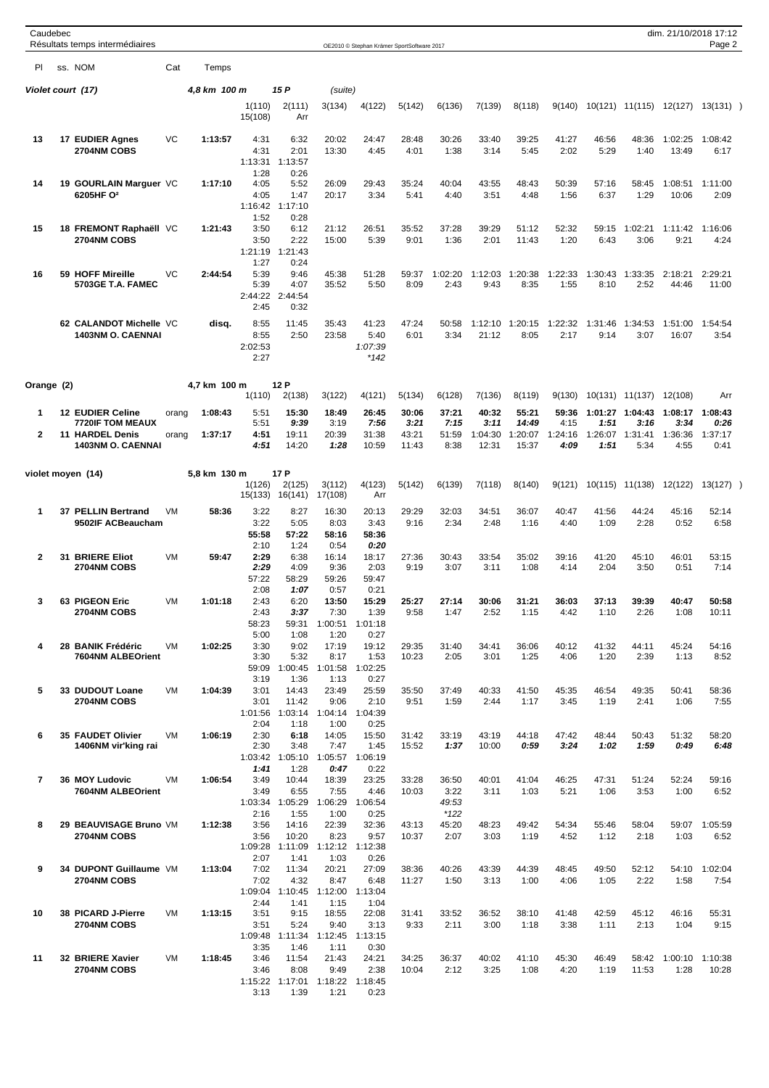| Caudebec       | Résultats temps intermédiaires                                                                    |                |                    |                                       |                                                 |                                          | OE2010 © Stephan Krämer SportSoftware 2017 |                                 |                                  |                                   |                                    |                                  |                         |                                            | dim. 21/10/2018 17:12   | Page 2                                     |  |
|----------------|---------------------------------------------------------------------------------------------------|----------------|--------------------|---------------------------------------|-------------------------------------------------|------------------------------------------|--------------------------------------------|---------------------------------|----------------------------------|-----------------------------------|------------------------------------|----------------------------------|-------------------------|--------------------------------------------|-------------------------|--------------------------------------------|--|
| PI.            | ss. NOM                                                                                           | Cat            | Temps              |                                       |                                                 |                                          |                                            |                                 |                                  |                                   |                                    |                                  |                         |                                            |                         |                                            |  |
|                | Violet court (17)                                                                                 |                | 4,8 km 100 m       |                                       | 15 P                                            | (suite)                                  |                                            |                                 |                                  |                                   |                                    |                                  |                         |                                            |                         |                                            |  |
|                |                                                                                                   |                |                    | 1(110)<br>15(108)                     | 2(111)<br>Arr                                   | 3(134)                                   | 4(122)                                     | 5(142)                          | 6(136)                           | 7(139)                            | 8(118)                             | 9(140)                           |                         | 10(121) 11(115)                            | 12(127)                 | 13(131))                                   |  |
| 13             | <b>17 EUDIER Agnes</b><br>2704NM COBS                                                             | VC             | 1:13:57            | 4:31<br>4:31<br>1:13:31               | 6:32<br>2:01<br>1:13:57                         | 20:02<br>13:30                           | 24:47<br>4:45                              | 28:48<br>4:01                   | 30:26<br>1:38                    | 33:40<br>3:14                     | 39:25<br>5:45                      | 41:27<br>2:02                    | 46:56<br>5:29           | 48:36<br>1:40                              | 1:02:25<br>13:49        | 1:08:42<br>6:17                            |  |
| 14             | 19 GOURLAIN Marguer VC<br>6205HF O <sup>2</sup>                                                   |                | 1:17:10            | 1:28<br>4:05<br>4:05<br>1:52          | 0:26<br>5:52<br>1:47<br>1:16:42 1:17:10<br>0:28 | 26:09<br>20:17                           | 29:43<br>3:34                              | 35:24<br>5:41                   | 40:04<br>4:40                    | 43:55<br>3:51                     | 48:43<br>4:48                      | 50:39<br>1:56                    | 57:16<br>6:37           | 58:45<br>1:29                              | 1:08:51<br>10:06        | 1:11:00<br>2:09                            |  |
| 15             | 18 FREMONT Raphaëll VC<br>2704NM COBS                                                             |                | 1:21:43            | 3:50<br>3:50<br>1:21:19<br>1:27       | 6:12<br>2:22<br>1:21:43<br>0:24                 | 21:12<br>15:00                           | 26:51<br>5:39                              | 35:52<br>9:01                   | 37:28<br>1:36                    | 39:29<br>2:01                     | 51:12<br>11:43                     | 52:32<br>1:20                    | 59:15<br>6:43           | 1:02:21<br>3:06                            | 1:11:42<br>9:21         | 1:16:06<br>4:24                            |  |
| 16             | 59 HOFF Mireille<br>5703GE T.A. FAMEC                                                             | VC             | 2:44:54            | 5:39<br>5:39<br>2:45                  | 9:46<br>4:07<br>2:44:22 2:44:54<br>0:32         | 45:38<br>35:52                           | 51:28<br>5:50                              | 59:37<br>8:09                   | 1:02:20<br>2:43                  | 1:12:03<br>9:43                   | 1:20:38<br>8:35                    | 1:22:33<br>1:55                  | 1:30:43 1:33:35<br>8:10 | 2:52                                       | 2:18:21<br>44:46        | 2:29:21<br>11:00                           |  |
|                | 62 CALANDOT Michelle VC<br><b>1403NM O. CAENNAI</b>                                               |                | disq.              | 8:55<br>8:55<br>2:02:53<br>2:27       | 11:45<br>2:50                                   | 35:43<br>23:58                           | 41:23<br>5:40<br>1:07:39<br>*142           | 47:24<br>6:01                   | 50:58<br>3:34                    | 1:12:10<br>21:12                  | 1:20:15<br>8:05                    | 1:22:32<br>2:17                  | 1:31:46<br>9:14         | 1:34:53<br>3:07                            | 1:51:00<br>16:07        | 1:54:54<br>3:54                            |  |
| Orange (2)     |                                                                                                   |                | 4.7 km 100 m       | 1(110)                                | 12 P<br>2(138)                                  | 3(122)                                   | 4(121)                                     | 5(134)                          | 6(128)                           | 7(136)                            | 8(119)                             | 9(130)                           |                         | 10(131) 11(137)                            | 12(108)                 | Arr                                        |  |
| 1<br>2         | <b>12 EUDIER Celine</b><br><b>7720IF TOM MEAUX</b><br>11 HARDEL Denis<br><b>1403NM O. CAENNAI</b> | orang<br>orang | 1:08:43<br>1:37:17 | 5:51<br>5:51<br>4:51<br>4:51          | 15:30<br>9:39<br>19:11<br>14:20                 | 18:49<br>3:19<br>20:39<br>1:28           | 26:45<br>7:56<br>31:38<br>10:59            | 30:06<br>3:21<br>43:21<br>11:43 | 37:21<br>7:15<br>51:59<br>8:38   | 40:32<br>3:11<br>1:04:30<br>12:31 | 55:21<br>14:49<br>1:20:07<br>15:37 | 59:36<br>4:15<br>1:24:16<br>4:09 | 1:51<br>1:26:07<br>1:51 | 1:01:27 1:04:43<br>3:16<br>1:31:41<br>5:34 | 3:34<br>1:36:36<br>4:55 | 1:08:17 1:08:43<br>0:26<br>1:37:17<br>0:41 |  |
|                | violet moyen (14)                                                                                 |                | 5,8 km 130 m       | 1(126)<br>15(133)                     | 17 P<br>2(125)<br>16(141)                       | 3(112)<br>17(108)                        | 4(123)<br>Arr                              | 5(142)                          | 6(139)                           | 7(118)                            | 8(140)                             | 9(121)                           | 10(115)                 | 11(138)                                    | 12(122)                 | 13(127)                                    |  |
| 1              | 37 PELLIN Bertrand<br>9502IF ACBeaucham                                                           | <b>VM</b>      | 58:36              | 3:22<br>3:22<br>55:58                 | 8:27<br>5:05<br>57:22                           | 16:30<br>8:03<br>58:16                   | 20:13<br>3:43<br>58:36                     | 29:29<br>9:16                   | 32:03<br>2:34                    | 34:51<br>2:48                     | 36:07<br>1:16                      | 40:47<br>4:40                    | 41:56<br>1:09           | 44:24<br>2:28                              | 45:16<br>0:52           | 52:14<br>6:58                              |  |
| 2              | 31 BRIERE Eliot<br><b>2704NM COBS</b>                                                             | VM             | 59:47              | 2:10<br>2:29<br>2:29<br>57:22         | 1:24<br>6:38<br>4:09<br>58:29                   | 0:54<br>16:14<br>9:36<br>59:26           | 0:20<br>18:17<br>2:03<br>59:47             | 27:36<br>9:19                   | 30:43<br>3:07                    | 33:54<br>3:11                     | 35:02<br>1:08                      | 39:16<br>4:14                    | 41:20<br>2:04           | 45:10<br>3:50                              | 46:01<br>0:51           | 53:15<br>7:14                              |  |
| 3              | 63 PIGEON Eric<br><b>2704NM COBS</b>                                                              | VM             | 1:01:18            | 2:08<br>2:43<br>2:43<br>58:23<br>5:00 | 1:07<br>6:20<br>3:37<br>59:31<br>1:08           | 0:57<br>13:50<br>7:30<br>1:00:51<br>1:20 | 0:21<br>15:29<br>1:39<br>1:01:18<br>0:27   | 25:27<br>9:58                   | 27:14<br>1:47                    | 30:06<br>2:52                     | 31:21<br>1:15                      | 36:03<br>4:42                    | 37:13<br>1:10           | 39:39<br>2:26                              | 40:47<br>1:08           | 50:58<br>10:11                             |  |
| 4              | 28 BANIK Frédéric<br>7604NM ALBEOrient                                                            | VM             | 1:02:25            | 3:30<br>3:30<br>59:09<br>3:19         | 9:02<br>5:32<br>1:00:45<br>1:36                 | 17:19<br>8:17<br>1:01:58<br>1:13         | 19:12<br>1:53<br>1:02:25<br>0:27           | 29:35<br>10:23                  | 31:40<br>2:05                    | 34:41<br>3:01                     | 36:06<br>1:25                      | 40:12<br>4:06                    | 41:32<br>1:20           | 44:11<br>2:39                              | 45:24<br>1:13           | 54:16<br>8:52                              |  |
| 5              | 33 DUDOUT Loane<br>2704NM COBS                                                                    | VM             | 1:04:39            | 3:01<br>3:01<br>1:01:56<br>2:04       | 14:43<br>11:42<br>1:03:14<br>1:18               | 23:49<br>9:06<br>1:04:14<br>1:00         | 25:59<br>2:10<br>1:04:39<br>0:25           | 35:50<br>9:51                   | 37:49<br>1:59                    | 40:33<br>2:44                     | 41:50<br>1:17                      | 45:35<br>3:45                    | 46:54<br>1:19           | 49:35<br>2:41                              | 50:41<br>1:06           | 58:36<br>7:55                              |  |
| 6              | 35 FAUDET Olivier<br>1406NM vir'king rai                                                          | VM             | 1:06:19            | 2:30<br>2:30<br>1:41                  | 6:18<br>3:48<br>1:03:42 1:05:10<br>1:28         | 14:05<br>7:47<br>1:05:57<br>0:47         | 15:50<br>1:45<br>1:06:19<br>0:22           | 31:42<br>15:52                  | 33:19<br>1:37                    | 43:19<br>10:00                    | 44:18<br>0:59                      | 47:42<br>3:24                    | 48:44<br>1:02           | 50:43<br>1:59                              | 51:32<br>0:49           | 58:20<br>6:48                              |  |
| $\overline{7}$ | 36 MOY Ludovic<br>7604NM ALBEOrient                                                               | VM             | 1:06:54            | 3:49<br>3:49<br>1:03:34<br>2:16       | 10:44<br>6:55<br>1:05:29<br>1:55                | 18:39<br>7:55<br>1:06:29<br>1:00         | 23:25<br>4:46<br>1:06:54<br>0:25           | 33:28<br>10:03                  | 36:50<br>3:22<br>49:53<br>$*122$ | 40:01<br>3:11                     | 41:04<br>1:03                      | 46:25<br>5:21                    | 47:31<br>1:06           | 51:24<br>3:53                              | 52:24<br>1:00           | 59:16<br>6:52                              |  |
| 8              | 29 BEAUVISAGE Bruno VM<br>2704NM COBS                                                             |                | 1:12:38            | 3:56<br>3:56<br>1:09:28<br>2:07       | 14:16<br>10:20<br>1:11:09<br>1:41               | 22:39<br>8:23<br>1:12:12 1:12:38<br>1:03 | 32:36<br>9:57<br>0:26                      | 43:13<br>10:37                  | 45:20<br>2:07                    | 48:23<br>3:03                     | 49:42<br>1:19                      | 54:34<br>4:52                    | 55:46<br>1:12           | 58:04<br>2:18                              | 59:07<br>1:03           | 1:05:59<br>6:52                            |  |
| 9              | 34 DUPONT Guillaume VM<br>2704NM COBS                                                             |                | 1:13:04            | 7:02<br>7:02<br>2:44                  | 11:34<br>4:32<br>1:09:04 1:10:45<br>1:41        | 20:21<br>8:47<br>1:12:00<br>1:15         | 27:09<br>6:48<br>1:13:04<br>1:04           | 38:36<br>11:27                  | 40:26<br>1:50                    | 43:39<br>3:13                     | 44:39<br>1:00                      | 48:45<br>4:06                    | 49:50<br>1:05           | 52:12<br>2:22                              | 54:10<br>1:58           | 1:02:04<br>7:54                            |  |
| 10             | 38 PICARD J-Pierre<br>2704NM COBS                                                                 | VM             | 1:13:15            | 3:51<br>3:51<br>1:09:48<br>3:35       | 9:15<br>5:24<br>1:11:34<br>1:46                 | 18:55<br>9:40<br>1:12:45<br>1:11         | 22:08<br>3:13<br>1:13:15<br>0:30           | 31:41<br>9:33                   | 33:52<br>2:11                    | 36:52<br>3:00                     | 38:10<br>1:18                      | 41:48<br>3:38                    | 42:59<br>1:11           | 45:12<br>2:13                              | 46:16<br>1:04           | 55:31<br>9:15                              |  |
| 11             | 32 BRIERE Xavier<br>2704NM COBS                                                                   | VM             | 1:18:45            | 3:46<br>3:46<br>1:15:22<br>3:13       | 11:54<br>8:08<br>1:17:01<br>1:39                | 21:43<br>9:49<br>1:18:22<br>1:21         | 24:21<br>2:38<br>1:18:45<br>0:23           | 34:25<br>10:04                  | 36:37<br>2:12                    | 40:02<br>3:25                     | 41:10<br>1:08                      | 45:30<br>4:20                    | 46:49<br>1:19           | 58:42<br>11:53                             | 1:00:10<br>1:28         | 1:10:38<br>10:28                           |  |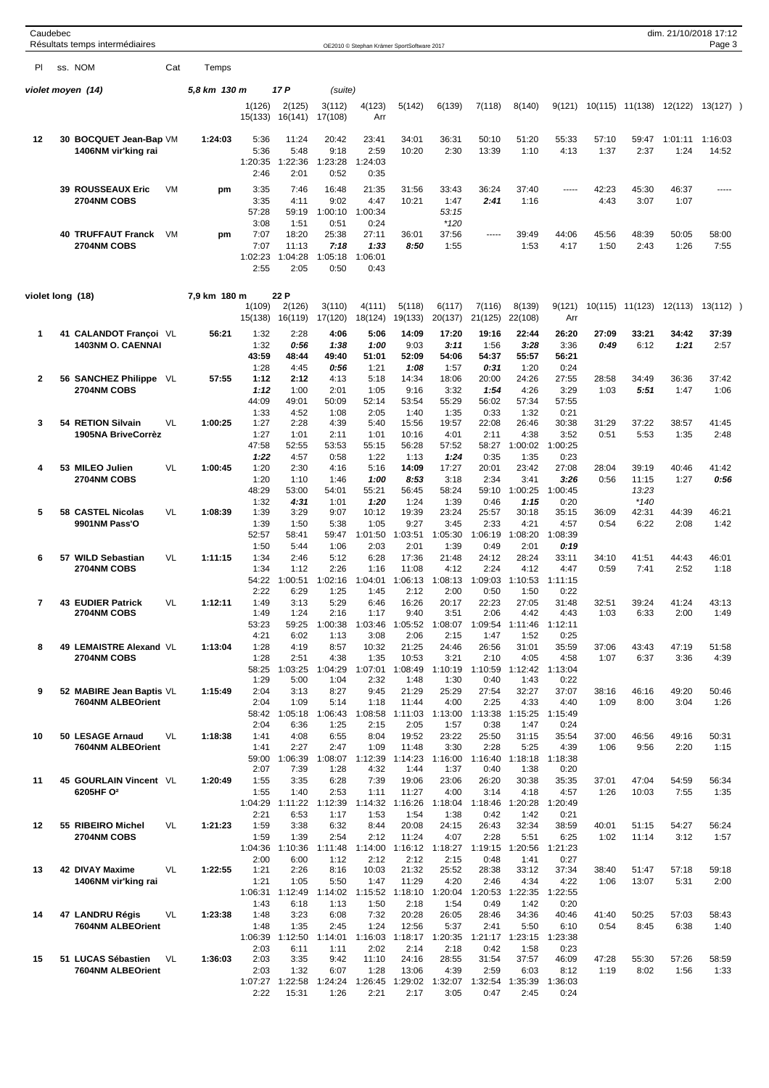| Caudebec         | Résultats temps intermédiaires                 |      |              |                                         |                                           |                                          | OE2010 © Stephan Krämer SportSoftware 2017 |                                   |                                          |                                  |                                  |                                          |               |                          | dim. 21/10/2018 17:12 | Page 3           |  |
|------------------|------------------------------------------------|------|--------------|-----------------------------------------|-------------------------------------------|------------------------------------------|--------------------------------------------|-----------------------------------|------------------------------------------|----------------------------------|----------------------------------|------------------------------------------|---------------|--------------------------|-----------------------|------------------|--|
| PI               | ss. NOM                                        | Cat  | Temps        |                                         |                                           |                                          |                                            |                                   |                                          |                                  |                                  |                                          |               |                          |                       |                  |  |
|                  | violet moyen (14)                              |      | 5,8 km 130 m |                                         | 17 P                                      | (suite)                                  |                                            |                                   |                                          |                                  |                                  |                                          |               |                          |                       |                  |  |
|                  |                                                |      |              | 1(126)<br>15(133)                       | 2(125)<br>16(141)                         | 3(112)<br>17(108)                        | 4(123)<br>Arr                              | 5(142)                            | 6(139)                                   | 7(118)                           | 8(140)                           | 9(121)                                   |               | 10(115) 11(138)          | 12(122)               | 13(127)          |  |
| 12               | 30 BOCQUET Jean-Bap VM<br>1406NM vir'king rai  |      | 1:24:03      | 5:36<br>5:36<br>1:20:35<br>2:46         | 11:24<br>5:48<br>1:22:36<br>2:01          | 20:42<br>9:18<br>1:23:28<br>0:52         | 23:41<br>2:59<br>1:24:03<br>0:35           | 34:01<br>10:20                    | 36:31<br>2:30                            | 50:10<br>13:39                   | 51:20<br>1:10                    | 55:33<br>4:13                            | 57:10<br>1:37 | 59:47<br>2:37            | 1:01:11<br>1:24       | 1:16:03<br>14:52 |  |
|                  | 39 ROUSSEAUX Eric<br>2704NM COBS               | VM   | pm           | 3:35<br>3:35<br>57:28                   | 7:46<br>4:11<br>59:19                     | 16:48<br>9:02<br>1:00:10                 | 21:35<br>4:47<br>1:00:34                   | 31:56<br>10:21                    | 33:43<br>1:47<br>53:15                   | 36:24<br>2:41                    | 37:40<br>1:16                    | -----                                    | 42:23<br>4:43 | 45:30<br>3:07            | 46:37<br>1:07         | -----            |  |
|                  | <b>40 TRUFFAUT Franck</b><br>2704NM COBS       | VM   | pm           | 3:08<br>7:07<br>7:07<br>1:02:23<br>2:55 | 1:51<br>18:20<br>11:13<br>1:04:28<br>2:05 | 0:51<br>25:38<br>7:18<br>1:05:18<br>0:50 | 0:24<br>27:11<br>1:33<br>1:06:01<br>0:43   | 36:01<br>8:50                     | $*120$<br>37:56<br>1:55                  | -----                            | 39:49<br>1:53                    | 44:06<br>4:17                            | 45:56<br>1:50 | 48:39<br>2:43            | 50:05<br>1:26         | 58:00<br>7:55    |  |
| violet long (18) |                                                |      | 7,9 km 180 m | 1(109)                                  | 22 P<br>2(126)                            | 3(110)                                   | 4(111)                                     | 5(118)                            | 6(117)                                   | 7(116)                           | 8(139)                           | 9(121)                                   |               | 10(115) 11(123)          | 12(113)               | 13(112)          |  |
|                  |                                                |      |              | 15(138)                                 | 16(119)                                   | 17(120)                                  | 18(124)                                    | 19(133)                           | 20(137)                                  | 21(125)                          | 22(108)                          | Arr                                      |               |                          |                       |                  |  |
| 1                | 41 CALANDOT Françoi VL<br>1403NM O. CAENNAI    |      | 56:21        | 1:32<br>1:32<br>43:59<br>1:28           | 2:28<br>0:56<br>48:44<br>4:45             | 4:06<br>1:38<br>49:40<br>0:56            | 5:06<br>1:00<br>51:01<br>1:21              | 14:09<br>9:03<br>52:09<br>1:08    | 17:20<br>3:11<br>54:06<br>1:57           | 19:16<br>1:56<br>54:37<br>0:31   | 22:44<br>3:28<br>55:57<br>1:20   | 26:20<br>3:36<br>56:21<br>0:24           | 27:09<br>0:49 | 33:21<br>6:12            | 34:42<br>1:21         | 37:39<br>2:57    |  |
| $\overline{2}$   | 56 SANCHEZ Philippe<br>2704NM COBS             | - VL | 57:55        | 1:12<br>1:12<br>44:09                   | 2:12<br>1:00<br>49:01                     | 4:13<br>2:01<br>50:09                    | 5:18<br>1:05<br>52:14                      | 14:34<br>9:16<br>53:54            | 18:06<br>3:32<br>55:29                   | 20:00<br>1:54<br>56:02           | 24:26<br>4:26<br>57:34           | 27:55<br>3:29<br>57:55                   | 28:58<br>1:03 | 34:49<br>5:51            | 36:36<br>1:47         | 37:42<br>1:06    |  |
| 3                | 54 RETION Silvain<br>1905NA BriveCorrèz        | VL   | 1:00:25      | 1:33<br>1:27<br>1:27<br>47:58           | 4:52<br>2:28<br>1:01<br>52:55             | 1:08<br>4:39<br>2:11<br>53:53            | 2:05<br>5:40<br>1:01<br>55:15              | 1:40<br>15:56<br>10:16<br>56:28   | 1:35<br>19:57<br>4:01<br>57:52           | 0:33<br>22:08<br>2:11<br>58:27   | 1:32<br>26:46<br>4:38<br>1:00:02 | 0:21<br>30:38<br>3:52<br>1:00:25         | 31:29<br>0:51 | 37:22<br>5:53            | 38:57<br>1:35         | 41:45<br>2:48    |  |
| 4                | 53 MILEO Julien<br>2704NM COBS                 | VL   | 1:00:45      | 1:22<br>1:20<br>1:20                    | 4:57<br>2:30<br>1:10                      | 0:58<br>4:16<br>1:46                     | 1:22<br>5:16<br>1:00                       | 1:13<br>14:09<br>8:53             | 1:24<br>17:27<br>3:18                    | 0:35<br>20:01<br>2:34            | 1:35<br>23:42<br>3:41            | 0:23<br>27:08<br>3:26                    | 28:04<br>0:56 | 39:19<br>11:15           | 40:46<br>1:27         | 41:42<br>0:56    |  |
| 5                | 58 CASTEL Nicolas                              | VL   | 1:08:39      | 48:29<br>1:32<br>1:39                   | 53:00<br>4:31<br>3:29                     | 54:01<br>1:01<br>9:07                    | 55:21<br>1:20<br>10:12                     | 56:45<br>1:24<br>19:39            | 58:24<br>1:39<br>23:24                   | 59:10<br>0:46<br>25:57           | 1:00:25<br>1:15<br>30:18         | 1:00:45<br>0:20<br>35:15                 | 36:09         | 13:23<br>$*140$<br>42:31 | 44:39                 | 46:21            |  |
| 6                | 9901NM Pass'O<br>57 WILD Sebastian             | VL   | 1:11:15      | 1:39<br>52:57<br>1:50<br>1:34           | 1:50<br>58:41<br>5:44<br>2:46             | 5:38<br>59:47<br>1:06<br>5:12            | 1:05<br>1:01:50<br>2:03<br>6:28            | 9:27<br>1:03:51<br>2:01<br>17:36  | 3:45<br>1:05:30<br>1:39<br>21:48         | 2:33<br>1:06:19<br>0:49<br>24:12 | 4:21<br>1:08:20<br>2:01<br>28:24 | 4:57<br>1:08:39<br>0:19<br>33:11         | 0:54<br>34:10 | 6:22<br>41:51            | 2:08<br>44:43         | 1:42<br>46:01    |  |
|                  | 2704NM COBS                                    |      |              | 1:34<br>54:22<br>2:22                   | 1:12<br>1:00:51<br>6:29                   | 2:26<br>1:02:16<br>1:25                  | 1:16<br>1:04:01<br>1:45                    | 11:08<br>1:06:13<br>2:12          | 4:12<br>1:08:13<br>2:00                  | 2:24<br>1:09:03<br>0:50          | 4:12<br>1:10:53<br>1:50          | 4:47<br>1:11:15<br>0:22                  | 0:59          | 7:41                     | 2:52                  | 1:18             |  |
| 7                | <b>43 EUDIER Patrick</b><br><b>2704NM COBS</b> | VL   | 1:12:11      | 1:49<br>1:49<br>53:23                   | 3:13<br>1:24<br>59:25                     | 5:29<br>2:16<br>1:00:38                  | 6:46<br>1:17<br>1:03:46                    | 16:26<br>9:40<br>1:05:52          | 20:17<br>3:51<br>1:08:07                 | 22:23<br>2:06<br>1:09:54         | 27:05<br>4:42<br>1:11:46         | 31:48<br>4:43<br>1:12:11                 | 32:51<br>1:03 | 39:24<br>6:33            | 41:24<br>2:00         | 43:13<br>1:49    |  |
| 8                | 49 LEMAISTRE Alexand VL<br>2704NM COBS         |      | 1:13:04      | 4:21<br>1:28<br>1:28<br>58:25           | 6:02<br>4:19<br>2:51<br>1:03:25           | 1:13<br>8:57<br>4:38<br>1:04:29          | 3:08<br>10:32<br>1:35<br>1:07:01           | 2:06<br>21:25<br>10:53<br>1:08:49 | 2:15<br>24:46<br>3:21<br>1:10:19         | 1:47<br>26:56<br>2:10<br>1:10:59 | 1:52<br>31:01<br>4:05            | 0:25<br>35:59<br>4:58<br>1:12:42 1:13:04 | 37:06<br>1:07 | 43:43<br>6:37            | 47:19<br>3:36         | 51:58<br>4:39    |  |
| 9                | 52 MABIRE Jean Baptis VL<br>7604NM ALBEOrient  |      | 1:15:49      | 1:29<br>2:04<br>2:04                    | 5:00<br>3:13<br>1:09                      | 1:04<br>8:27<br>5:14                     | 2:32<br>9:45<br>1:18                       | 1:48<br>21:29<br>11:44            | 1:30<br>25:29<br>4:00                    | 0:40<br>27:54<br>2:25            | 1:43<br>32:27<br>4:33            | 0:22<br>37:07<br>4:40                    | 38:16<br>1:09 | 46:16<br>8:00            | 49:20<br>3:04         | 50:46<br>1:26    |  |
| 10               | 50 LESAGE Arnaud<br>7604NM ALBEOrient          | VL   | 1:18:38      | 2:04<br>1:41<br>1:41                    | 58:42 1:05:18<br>6:36<br>4:08<br>2:27     | 1:06:43<br>1:25<br>6:55<br>2:47          | 1:08:58<br>2:15<br>8:04<br>1:09            | 1:11:03<br>2:05<br>19:52<br>11:48 | 1:13:00<br>1:57<br>23:22<br>3:30         | 1:13:38<br>0:38<br>25:50<br>2:28 | 1:15:25<br>1:47<br>31:15<br>5:25 | 1:15:49<br>0:24<br>35:54<br>4:39         | 37:00<br>1:06 | 46:56<br>9:56            | 49:16<br>2:20         | 50:31<br>1:15    |  |
| 11               | 45 GOURLAIN Vincent VL                         |      | 1:20:49      | 59:00<br>2:07<br>1:55                   | 1:06:39<br>7:39<br>3:35                   | 1:08:07<br>1:28<br>6:28                  | 1:12:39<br>4:32<br>7:39                    | 1:14:23<br>1:44<br>19:06          | 1:16:00<br>1:37<br>23:06                 | 1:16:40<br>0:40<br>26:20         | 1:18:18<br>1:38<br>30:38         | 1:18:38<br>0:20<br>35:35                 | 37:01         | 47:04                    | 54:59                 | 56:34            |  |
|                  | 6205HF O <sup>2</sup>                          |      |              | 1:55<br>1:04:29<br>2:21                 | 1:40<br>1:11:22<br>6:53                   | 2:53<br>1:12:39<br>1:17                  | 1:11<br>1:14:32<br>1:53                    | 11:27<br>1:16:26<br>1:54          | 4:00<br>1:18:04<br>1:38                  | 3:14<br>1:18:46<br>0:42          | 4:18<br>1:20:28<br>1:42          | 4:57<br>1:20:49<br>0:21                  | 1:26          | 10:03                    | 7:55                  | 1:35             |  |
| 12               | 55 RIBEIRO Michel<br>2704NM COBS               | VL   | 1:21:23      | 1:59<br>1:59<br>1:04:36<br>2:00         | 3:38<br>1:39<br>1:10:36<br>6:00           | 6:32<br>2:54<br>1:11:48<br>1:12          | 8:44<br>2:12<br>1:14:00<br>2:12            | 20:08<br>11:24<br>2:12            | 24:15<br>4:07<br>1:16:12 1:18:27<br>2:15 | 26:43<br>2:28<br>1:19:15<br>0:48 | 32:34<br>5:51<br>1:20:56<br>1:41 | 38:59<br>6:25<br>1:21:23<br>0:27         | 40:01<br>1:02 | 51:15<br>11:14           | 54:27<br>3:12         | 56:24<br>1:57    |  |
| 13               | 42 DIVAY Maxime<br>1406NM vir'king rai         | VL   | 1:22:55      | 1:21<br>1:21                            | 2:26<br>1:05<br>1:06:31 1:12:49           | 8:16<br>5:50<br>1:14:02                  | 10:03<br>1:47<br>1:15:52                   | 21:32<br>11:29<br>1:18:10         | 25:52<br>4:20<br>1:20:04                 | 28:38<br>2:46<br>1:20:53         | 33:12<br>4:34<br>1:22:35         | 37:34<br>4:22<br>1:22:55                 | 38:40<br>1:06 | 51:47<br>13:07           | 57:18<br>5:31         | 59:18<br>2:00    |  |
| 14               | 47 LANDRU Régis<br>7604NM ALBEOrient           | VL   | 1:23:38      | 1:43<br>1:48<br>1:48<br>1:06:39         | 6:18<br>3:23<br>1:35<br>1:12:50           | 1:13<br>6:08<br>2:45<br>1:14:01          | 1:50<br>7:32<br>1:24<br>1:16:03            | 2:18<br>20:28<br>12:56<br>1:18:17 | 1:54<br>26:05<br>5:37<br>1:20:35         | 0:49<br>28:46<br>2:41<br>1:21:17 | 1:42<br>34:36<br>5:50<br>1:23:15 | 0:20<br>40:46<br>6:10<br>1:23:38         | 41:40<br>0:54 | 50:25<br>8:45            | 57:03<br>6:38         | 58:43<br>1:40    |  |
| 15               | 51 LUCAS Sébastien<br>7604NM ALBEOrient        | VL   | 1:36:03      | 2:03<br>2:03<br>2:03<br>1:07:27         | 6:11<br>3:35<br>1:32<br>1:22:58           | 1:11<br>9:42<br>6:07<br>1:24:24          | 2:02<br>11:10<br>1:28<br>1:26:45           | 2:14<br>24:16<br>13:06<br>1:29:02 | 2:18<br>28:55<br>4:39<br>1:32:07         | 0:42<br>31:54<br>2:59<br>1:32:54 | 1:58<br>37:57<br>6:03<br>1:35:39 | 0:23<br>46:09<br>8:12<br>1:36:03         | 47:28<br>1:19 | 55:30<br>8:02            | 57:26<br>1:56         | 58:59<br>1:33    |  |
|                  |                                                |      |              | 2:22                                    | 15:31                                     | 1:26                                     | 2:21                                       | 2:17                              | 3:05                                     | 0:47                             | 2:45                             | 0:24                                     |               |                          |                       |                  |  |